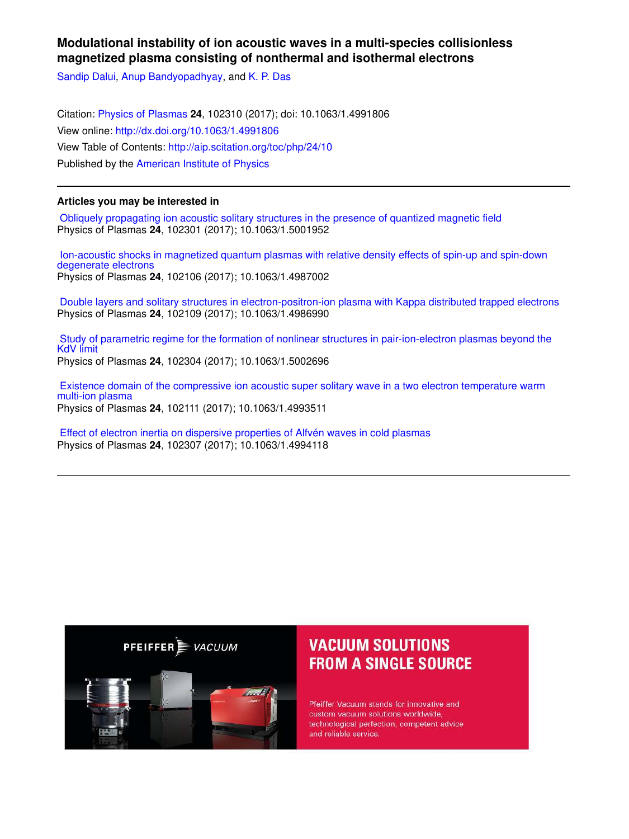### **Modulational instability of ion acoustic waves in a multi-species collisionless magnetized plasma consisting of nonthermal and isothermal electrons**

Sandip Dalui, Anup Bandyopadhyay, and K. P. Das

Citation: Physics of Plasmas **24**, 102310 (2017); doi: 10.1063/1.4991806 View online: http://dx.doi.org/10.1063/1.4991806 View Table of Contents: http://aip.scitation.org/toc/php/24/10 Published by the American Institute of Physics

### **Articles you may be interested in**

 Obliquely propagating ion acoustic solitary structures in the presence of quantized magnetic field Physics of Plasmas **24**, 102301 (2017); 10.1063/1.5001952

 Ion-acoustic shocks in magnetized quantum plasmas with relative density effects of spin-up and spin-down degenerate electrons Physics of Plasmas **24**, 102106 (2017); 10.1063/1.4987002

 Double layers and solitary structures in electron-positron-ion plasma with Kappa distributed trapped electrons Physics of Plasmas **24**, 102109 (2017); 10.1063/1.4986990

 Study of parametric regime for the formation of nonlinear structures in pair-ion-electron plasmas beyond the KdV limit Physics of Plasmas **24**, 102304 (2017); 10.1063/1.5002696

 Existence domain of the compressive ion acoustic super solitary wave in a two electron temperature warm multi-ion plasma Physics of Plasmas **24**, 102111 (2017); 10.1063/1.4993511

 Effect of electron inertia on dispersive properties of Alfvén waves in cold plasmas Physics of Plasmas **24**, 102307 (2017); 10.1063/1.4994118



# **VACUUM SOLUTIONS FROM A SINGLE SOURCE**

Pfeiffer Vacuum stands for innovative and custom vacuum solutions worldwide, technological perfection, competent advice and reliable service.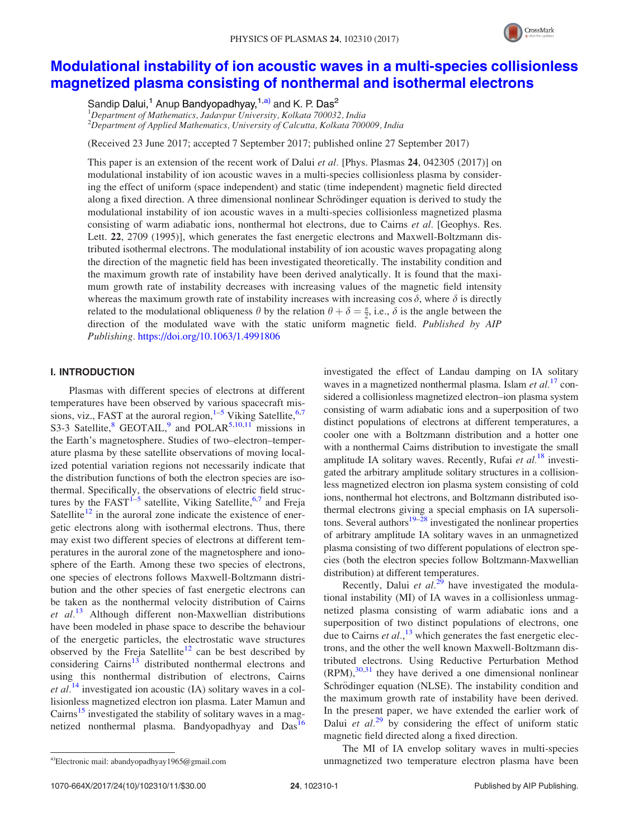

# Modulational instability of ion acoustic waves in a multi-species collisionless magnetized plasma consisting of nonthermal and isothermal electrons

Sandip Dalui,<sup>1</sup> Anup Bandyopadhyay,<sup>1,a)</sup> and K. P. Das<sup>2</sup>

 $1$ Department of Mathematics, Jadavpur University, Kolkata 700032, India  $2D$ epartment of Applied Mathematics, University of Calcutta, Kolkata 700009, India

(Received 23 June 2017; accepted 7 September 2017; published online 27 September 2017)

This paper is an extension of the recent work of Dalui *et al.* [Phys. Plasmas 24, 042305 (2017)] on modulational instability of ion acoustic waves in a multi-species collisionless plasma by considering the effect of uniform (space independent) and static (time independent) magnetic field directed along a fixed direction. A three dimensional nonlinear Schrödinger equation is derived to study the modulational instability of ion acoustic waves in a multi-species collisionless magnetized plasma consisting of warm adiabatic ions, nonthermal hot electrons, due to Cairns et al. [Geophys. Res.] Lett. 22, 2709 (1995)], which generates the fast energetic electrons and Maxwell-Boltzmann distributed isothermal electrons. The modulational instability of ion acoustic waves propagating along the direction of the magnetic field has been investigated theoretically. The instability condition and the maximum growth rate of instability have been derived analytically. It is found that the maximum growth rate of instability decreases with increasing values of the magnetic field intensity whereas the maximum growth rate of instability increases with increasing cos  $\delta$ , where  $\delta$  is directly related to the modulational obliqueness  $\theta$  by the relation  $\theta + \delta = \frac{\pi}{2}$ , i.e.,  $\delta$  is the angle between the direction of the modulated wave with the static uniform magnetic field. Published by AIP Publishing. https://doi.org/10.1063/1.4991806

### I. INTRODUCTION

Plasmas with different species of electrons at different temperatures have been observed by various spacecraft missions, viz., FAST at the auroral region, $1-5$  Viking Satellite,  $6,7$ S3-3 Satellite, <sup>8</sup> GEOTAIL,<sup>9</sup> and POLAR<sup>5,10,11</sup> missions in the Earth's magnetosphere. Studies of two–electron–temperature plasma by these satellite observations of moving localized potential variation regions not necessarily indicate that the distribution functions of both the electron species are isothermal. Specifically, the observations of electric field structures by the FAST<sup>1-5</sup> satellite, Viking Satellite,<sup>6,7</sup> and Freja Satellite<sup>12</sup> in the auroral zone indicate the existence of energetic electrons along with isothermal electrons. Thus, there may exist two different species of electrons at different temperatures in the auroral zone of the magnetosphere and ionosphere of the Earth. Among these two species of electrons, one species of electrons follows Maxwell-Boltzmann distribution and the other species of fast energetic electrons can be taken as the nonthermal velocity distribution of Cairns et  $al^{13}$  Although different non-Maxwellian distributions have been modeled in phase space to describe the behaviour of the energetic particles, the electrostatic wave structures observed by the Freja Satellite<sup>12</sup> can be best described by considering Cairns $13$  distributed nonthermal electrons and using this nonthermal distribution of electrons, Cairns *et al.*<sup>14</sup> investigated ion acoustic (IA) solitary waves in a collisionless magnetized electron ion plasma. Later Mamun and Cairns<sup>15</sup> investigated the stability of solitary waves in a magnetized nonthermal plasma. Bandyopadhyay and Das<sup>16</sup>

Recently, Dalui et  $al.^{29}$  have investigated the modulational instability (MI) of IA waves in a collisionless unmagnetized plasma consisting of warm adiabatic ions and a superposition of two distinct populations of electrons, one due to Cairns  $et al.<sup>13</sup>$  which generates the fast energetic electrons, and the other the well known Maxwell-Boltzmann distributed electrons. Using Reductive Perturbation Method  $(RPM)$ ,  $30,31$  they have derived a one dimensional nonlinear Schrödinger equation (NLSE). The instability condition and the maximum growth rate of instability have been derived. In the present paper, we have extended the earlier work of Dalui et  $al^{29}$  by considering the effect of uniform static magnetic field directed along a fixed direction.

The MI of IA envelop solitary waves in multi-species a)Electronic mail: abandyopadhyay1965@gmail.com and and a managnetized two temperature electron plasma have been

investigated the effect of Landau damping on IA solitary waves in a magnetized nonthermal plasma. Islam *et al.*<sup>17</sup> considered a collisionless magnetized electron–ion plasma system consisting of warm adiabatic ions and a superposition of two distinct populations of electrons at different temperatures, a cooler one with a Boltzmann distribution and a hotter one with a nonthermal Cairns distribution to investigate the small amplitude IA solitary waves. Recently, Rufai et  $al$ .<sup>18</sup> investigated the arbitrary amplitude solitary structures in a collisionless magnetized electron ion plasma system consisting of cold ions, nonthermal hot electrons, and Boltzmann distributed isothermal electrons giving a special emphasis on IA supersolitons. Several authors<sup>19–28</sup> investigated the nonlinear properties of arbitrary amplitude IA solitary waves in an unmagnetized plasma consisting of two different populations of electron species (both the electron species follow Boltzmann-Maxwellian distribution) at different temperatures.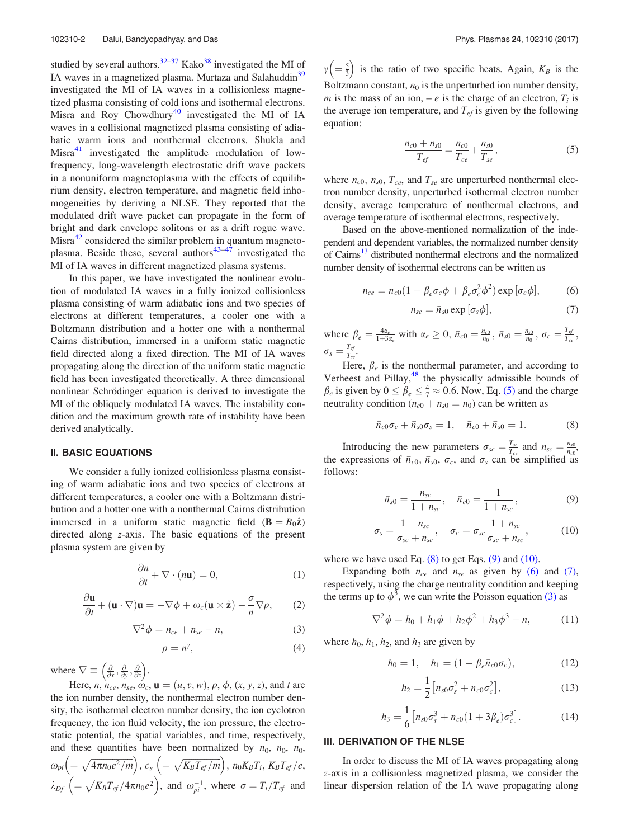studied by several authors. $32-37$  Kako $38$  investigated the MI of IA waves in a magnetized plasma. Murtaza and Salahuddin<sup>39</sup> investigated the MI of IA waves in a collisionless magnetized plasma consisting of cold ions and isothermal electrons. Misra and Roy Chowdhury<sup>40</sup> investigated the MI of IA waves in a collisional magnetized plasma consisting of adiabatic warm ions and nonthermal electrons. Shukla and Misra $41$  investigated the amplitude modulation of lowfrequency, long-wavelength electrostatic drift wave packets in a nonuniform magnetoplasma with the effects of equilibrium density, electron temperature, and magnetic field inhomogeneities by deriving a NLSE. They reported that the modulated drift wave packet can propagate in the form of bright and dark envelope solitons or as a drift rogue wave. Misra<sup>42</sup> considered the similar problem in quantum magnetoplasma. Beside these, several authors<sup>43–47</sup> investigated the MI of IA waves in different magnetized plasma systems.

In this paper, we have investigated the nonlinear evolution of modulated IA waves in a fully ionized collisionless plasma consisting of warm adiabatic ions and two species of electrons at different temperatures, a cooler one with a Boltzmann distribution and a hotter one with a nonthermal Cairns distribution, immersed in a uniform static magnetic field directed along a fixed direction. The MI of IA waves propagating along the direction of the uniform static magnetic field has been investigated theoretically. A three dimensional nonlinear Schrödinger equation is derived to investigate the MI of the obliquely modulated IA waves. The instability condition and the maximum growth rate of instability have been derived analytically.

#### II. BASIC EQUATIONS

We consider a fully ionized collisionless plasma consisting of warm adiabatic ions and two species of electrons at different temperatures, a cooler one with a Boltzmann distribution and a hotter one with a nonthermal Cairns distribution immersed in a uniform static magnetic field  $(\mathbf{B} = B_0\hat{\mathbf{z}})$ directed along z-axis. The basic equations of the present plasma system are given by

$$
\frac{\partial n}{\partial t} + \nabla \cdot (n\mathbf{u}) = 0,\tag{1}
$$

$$
\frac{\partial \mathbf{u}}{\partial t} + (\mathbf{u} \cdot \nabla) \mathbf{u} = -\nabla \phi + \omega_c (\mathbf{u} \times \hat{\mathbf{z}}) - \frac{\sigma}{n} \nabla p, \qquad (2)
$$

$$
\nabla^2 \phi = n_{ce} + n_{se} - n,\tag{3}
$$

$$
p = n^{\gamma},\tag{4}
$$

where  $\nabla \equiv \left(\frac{\partial}{\partial x}, \frac{\partial}{\partial y}, \frac{\partial}{\partial z}\right)$ .

Here,  $n, n_{ce}, n_{se}, \omega_c, \mathbf{u} = (u, v, w), p, \phi, (x, y, z)$ , and t are the ion number density, the nonthermal electron number density, the isothermal electron number density, the ion cyclotron frequency, the ion fluid velocity, the ion pressure, the electrostatic potential, the spatial variables, and time, respectively, and these quantities have been normalized by  $n_0$ ,  $n_0$ ,  $n_0$ ,  $\omega_{pi}\Big(=\sqrt{4\pi n_{0}e^{2}/m}\Big),\,c_{s}\,\Big(=\sqrt{K_{B}T_{ef}/m}\Big),\,n_{0}K_{B}T_{i},\,K_{B}T_{ef}/e,$  $\lambda_{Df}$   $\left(=\sqrt{K_BT_{ef}}/4\pi n_0e^2\right)$ , and  $\omega_{pi}^{-1}$ , where  $\sigma=T_i/T_{ef}$  and

 $\gamma\left(=\frac{5}{3}\right)$  is the ratio of two specific heats. Again,  $K_B$  is the Boltzmann constant,  $n_0$  is the unperturbed ion number density, m is the mass of an ion,  $-e$  is the charge of an electron,  $T_i$  is the average ion temperature, and  $T_{ef}$  is given by the following equation:

$$
\frac{n_{c0} + n_{s0}}{T_{ef}} = \frac{n_{c0}}{T_{ce}} + \frac{n_{s0}}{T_{se}},
$$
(5)

where  $n_{c0}$ ,  $n_{s0}$ ,  $T_{ce}$ , and  $T_{se}$  are unperturbed nonthermal electron number density, unperturbed isothermal electron number density, average temperature of nonthermal electrons, and average temperature of isothermal electrons, respectively.

Based on the above-mentioned normalization of the independent and dependent variables, the normalized number density of Cairns<sup>13</sup> distributed nonthermal electrons and the normalized number density of isothermal electrons can be written as

$$
n_{ce} = \bar{n}_{c0} (1 - \beta_e \sigma_c \phi + \beta_e \sigma_c^2 \phi^2) \exp\left[\sigma_c \phi\right],\tag{6}
$$

$$
n_{se} = \bar{n}_{s0} \exp\left[\sigma_s \phi\right],\tag{7}
$$

where  $\beta_e = \frac{4\alpha_e}{1+3\alpha_e}$  with  $\alpha_e \ge 0$ ,  $\bar{n}_{c0} = \frac{n_{c0}}{n_0}$ ,  $\bar{n}_{s0} = \frac{n_{s0}}{n_0}$ ,  $\sigma_c = \frac{T_{q}}{T_{c0}}$  $\frac{I_{ef}}{T_{ce}}$ ,  $\sigma_{\scriptscriptstyle S} = \frac{T_{\scriptscriptstyle ej}}{T_{\scriptscriptstyle S6}}$  $\frac{1}{T_{se}}$ .

Here,  $\beta_e$  is the nonthermal parameter, and according to Verheest and Pillay,<sup>48</sup> the physically admissible bounds of  $\beta_e$  is given by  $0 \le \beta_e \le \frac{4}{7} \approx 0.6$ . Now, Eq. (5) and the charge neutrality condition ( $n_{c0} + n_{s0} = n_0$ ) can be written as

$$
\bar{n}_{c0}\sigma_c + \bar{n}_{s0}\sigma_s = 1, \quad \bar{n}_{c0} + \bar{n}_{s0} = 1.
$$
 (8)

Introducing the new parameters  $\sigma_{sc} = \frac{T_{sc}}{T_{ce}}$  and  $n_{sc} = \frac{n_{s0}}{n_{c0}}$ the expressions of  $\bar{n}_{c0}$ ,  $\bar{n}_{s0}$ ,  $\sigma_c$ , and  $\sigma_s$  can be simplified as follows:

$$
\bar{n}_{s0} = \frac{n_{sc}}{1 + n_{sc}}, \quad \bar{n}_{c0} = \frac{1}{1 + n_{sc}}, \tag{9}
$$

$$
\sigma_s = \frac{1 + n_{sc}}{\sigma_{sc} + n_{sc}}, \quad \sigma_c = \sigma_{sc} \frac{1 + n_{sc}}{\sigma_{sc} + n_{sc}}, \quad (10)
$$

where we have used Eq.  $(8)$  to get Eqs.  $(9)$  and  $(10)$ .

Expanding both  $n_{ce}$  and  $n_{se}$  as given by (6) and (7), respectively, using the charge neutrality condition and keeping the terms up to  $\phi^3$ , we can write the Poisson equation (3) as

$$
\nabla^2 \phi = h_0 + h_1 \phi + h_2 \phi^2 + h_3 \phi^3 - n,\tag{11}
$$

where  $h_0$ ,  $h_1$ ,  $h_2$ , and  $h_3$  are given by

$$
h_0 = 1, \quad h_1 = (1 - \beta_e \bar{n}_{c0} \sigma_c), \tag{12}
$$

$$
h_2 = \frac{1}{2} \left[ \bar{n}_{s0} \sigma_s^2 + \bar{n}_{c0} \sigma_c^2 \right],
$$
 (13)

$$
h_3 = \frac{1}{6} \left[ \bar{n}_{s0} \sigma_s^3 + \bar{n}_{c0} (1 + 3 \beta_e) \sigma_c^3 \right].
$$
 (14)

### III. DERIVATION OF THE NLSE

In order to discuss the MI of IA waves propagating along z-axis in a collisionless magnetized plasma, we consider the linear dispersion relation of the IA wave propagating along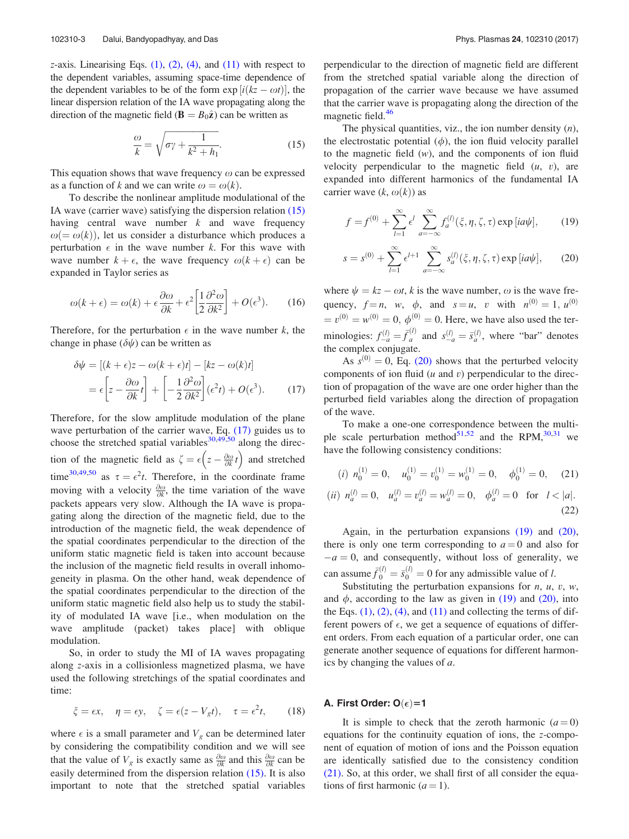$z$ -axis. Linearising Eqs.  $(1)$ ,  $(2)$ ,  $(4)$ , and  $(11)$  with respect to the dependent variables, assuming space-time dependence of the dependent variables to be of the form  $\exp[i(kz - \omega t)]$ , the linear dispersion relation of the IA wave propagating along the direction of the magnetic field ( $\mathbf{B} = B_0\hat{\mathbf{z}}$ ) can be written as

$$
\frac{\omega}{k} = \sqrt{\sigma \gamma + \frac{1}{k^2 + h_1}}.\tag{15}
$$

This equation shows that wave frequency  $\omega$  can be expressed as a function of k and we can write  $\omega = \omega(k)$ .

To describe the nonlinear amplitude modulational of the IA wave (carrier wave) satisfying the dispersion relation (15) having central wave number  $k$  and wave frequency  $\omega(=\omega(k))$ , let us consider a disturbance which produces a perturbation  $\epsilon$  in the wave number k. For this wave with wave number  $k + \epsilon$ , the wave frequency  $\omega(k + \epsilon)$  can be expanded in Taylor series as

$$
\omega(k+\epsilon) = \omega(k) + \epsilon \frac{\partial \omega}{\partial k} + \epsilon^2 \left[ \frac{1}{2} \frac{\partial^2 \omega}{\partial k^2} \right] + O(\epsilon^3). \tag{16}
$$

Therefore, for the perturbation  $\epsilon$  in the wave number k, the change in phase  $(\delta \psi)$  can be written as

$$
\delta \psi = \left[ (k + \epsilon)z - \omega (k + \epsilon)t \right] - \left[ kz - \omega (k)t \right]
$$

$$
= \epsilon \left[ z - \frac{\partial \omega}{\partial k} t \right] + \left[ -\frac{1}{2} \frac{\partial^2 \omega}{\partial k^2} \right] (\epsilon^2 t) + O(\epsilon^3). \tag{17}
$$

Therefore, for the slow amplitude modulation of the plane wave perturbation of the carrier wave, Eq. (17) guides us to choose the stretched spatial variables<sup>30,49,50</sup> along the direction of the magnetic field as  $\zeta = \epsilon \left( z - \frac{\partial \omega}{\partial k} t \right)$  and stretched time<sup>30,49,50</sup> as  $\tau = \epsilon^2 t$ . Therefore, in the coordinate frame moving with a velocity  $\frac{\partial \omega}{\partial k}$ , the time variation of the wave packets appears very slow. Although the IA wave is propagating along the direction of the magnetic field, due to the introduction of the magnetic field, the weak dependence of the spatial coordinates perpendicular to the direction of the uniform static magnetic field is taken into account because the inclusion of the magnetic field results in overall inhomogeneity in plasma. On the other hand, weak dependence of the spatial coordinates perpendicular to the direction of the uniform static magnetic field also help us to study the stability of modulated IA wave [i.e., when modulation on the wave amplitude (packet) takes place] with oblique modulation.

So, in order to study the MI of IA waves propagating along z-axis in a collisionless magnetized plasma, we have used the following stretchings of the spatial coordinates and time:

$$
\xi = \epsilon x, \quad \eta = \epsilon y, \quad \zeta = \epsilon (z - V_g t), \quad \tau = \epsilon^2 t,
$$
 (18)

where  $\epsilon$  is a small parameter and  $V_g$  can be determined later by considering the compatibility condition and we will see that the value of  $V_g$  is exactly same as  $\frac{\partial \omega}{\partial k}$  and this  $\frac{\partial \omega}{\partial k}$  can be easily determined from the dispersion relation (15). It is also important to note that the stretched spatial variables perpendicular to the direction of magnetic field are different from the stretched spatial variable along the direction of propagation of the carrier wave because we have assumed that the carrier wave is propagating along the direction of the magnetic field.<sup>46</sup>

The physical quantities, viz., the ion number density  $(n)$ , the electrostatic potential  $(\phi)$ , the ion fluid velocity parallel to the magnetic field  $(w)$ , and the components of ion fluid velocity perpendicular to the magnetic field  $(u, v)$ , are expanded into different harmonics of the fundamental IA carrier wave  $(k, \omega(k))$  as

$$
f = f^{(0)} + \sum_{l=1}^{\infty} \epsilon^l \sum_{a=-\infty}^{\infty} f_a^{(l)}(\xi, \eta, \zeta, \tau) \exp[i a \psi], \qquad (19)
$$

$$
s = s^{(0)} + \sum_{l=1}^{\infty} \epsilon^{l+1} \sum_{a=-\infty}^{\infty} s_a^{(l)}(\xi, \eta, \zeta, \tau) \exp[i a \psi], \qquad (20)
$$

where  $\psi = kz - \omega t$ , k is the wave number,  $\omega$  is the wave frequency,  $f = n$ , w,  $\phi$ , and  $s = u$ , v with  $n^{(0)} = 1$ ,  $u^{(0)}$  $v^{(0)} = v^{(0)} = 0, \phi^{(0)} = 0.$  Here, we have also used the terminologies:  $f_{-a}^{(l)} = \bar{f}$  $\delta_a^{(l)}$  and  $s_{-a}^{(l)} = \bar{s}_a^{(l)}$ , where "bar" denotes the complex conjugate.

As  $s^{(0)} = 0$ , Eq. (20) shows that the perturbed velocity components of ion fluid  $(u \text{ and } v)$  perpendicular to the direction of propagation of the wave are one order higher than the perturbed field variables along the direction of propagation of the wave.

To make a one-one correspondence between the multiple scale perturbation method<sup>51,52</sup> and the RPM,<sup>30,31</sup> we have the following consistency conditions:

(*i*) 
$$
n_0^{(1)} = 0
$$
,  $u_0^{(1)} = v_0^{(1)} = w_0^{(1)} = 0$ ,  $\phi_0^{(1)} = 0$ , (21)  
\n(*ii*)  $n_a^{(l)} = 0$ ,  $u_a^{(l)} = v_a^{(l)} = w_a^{(l)} = 0$ ,  $\phi_a^{(l)} = 0$  for  $l < |a|$ .  
\n(22)

Again, in the perturbation expansions (19) and (20), there is only one term corresponding to  $a = 0$  and also for  $-a = 0$ , and consequently, without loss of generality, we can assume  $\bar{f}_0^{(l)} = \bar{s}_0^{(l)} = 0$  for any admissible value of l.

Substituting the perturbation expansions for  $n$ ,  $u$ ,  $v$ ,  $w$ , and  $\phi$ , according to the law as given in (19) and (20), into the Eqs.  $(1)$ ,  $(2)$ ,  $(4)$ , and  $(11)$  and collecting the terms of different powers of  $\epsilon$ , we get a sequence of equations of different orders. From each equation of a particular order, one can generate another sequence of equations for different harmonics by changing the values of a.

# A. First Order: O $(\epsilon)$ =1

It is simple to check that the zeroth harmonic  $(a = 0)$ equations for the continuity equation of ions, the z-component of equation of motion of ions and the Poisson equation are identically satisfied due to the consistency condition (21). So, at this order, we shall first of all consider the equations of first harmonic  $(a = 1)$ .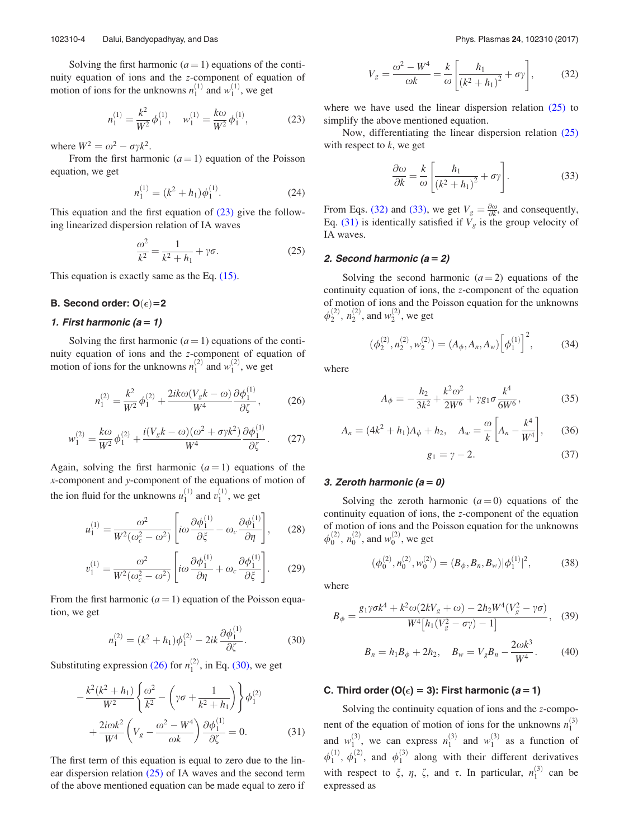Solving the first harmonic  $(a = 1)$  equations of the continuity equation of ions and the z-component of equation of motion of ions for the unknowns  $n_1^{(1)}$  and  $w_1^{(1)}$ , we get

$$
n_1^{(1)} = \frac{k^2}{W^2} \phi_1^{(1)}, \quad w_1^{(1)} = \frac{k\omega}{W^2} \phi_1^{(1)}, \tag{23}
$$

where  $W^2 = \omega^2 - \sigma \gamma k^2$ .

From the first harmonic  $(a = 1)$  equation of the Poisson equation, we get

$$
n_1^{(1)} = (k^2 + h_1)\phi_1^{(1)}.
$$
 (24)

This equation and the first equation of  $(23)$  give the following linearized dispersion relation of IA waves

$$
\frac{\omega^2}{k^2} = \frac{1}{k^2 + h_1} + \gamma \sigma.
$$
 (25)

This equation is exactly same as the Eq. (15).

# B. Second order:  $O(\epsilon)$ =2

### 1. First harmonic  $(a = 1)$

Solving the first harmonic  $(a = 1)$  equations of the continuity equation of ions and the z-component of equation of motion of ions for the unknowns  $n_1^{(2)}$  and  $w_1^{(2)}$ , we get

$$
n_1^{(2)} = \frac{k^2}{W^2} \phi_1^{(2)} + \frac{2ik\omega(V_g k - \omega)}{W^4} \frac{\partial \phi_1^{(1)}}{\partial \zeta},\tag{26}
$$

$$
w_1^{(2)} = \frac{k\omega}{W^2} \phi_1^{(2)} + \frac{i(V_g k - \omega)(\omega^2 + \sigma \gamma k^2)}{W^4} \frac{\partial \phi_1^{(1)}}{\partial \zeta}.
$$
 (27)

Again, solving the first harmonic  $(a = 1)$  equations of the x-component and y-component of the equations of motion of the ion fluid for the unknowns  $u_1^{(1)}$  and  $v_1^{(1)}$ , we get

$$
u_1^{(1)} = \frac{\omega^2}{W^2(\omega_c^2 - \omega^2)} \left[ i\omega \frac{\partial \phi_1^{(1)}}{\partial \xi} - \omega_c \frac{\partial \phi_1^{(1)}}{\partial \eta} \right], \qquad (28)
$$

$$
v_1^{(1)} = \frac{\omega^2}{W^2(\omega_c^2 - \omega^2)} \left[ i\omega \frac{\partial \phi_1^{(1)}}{\partial \eta} + \omega_c \frac{\partial \phi_1^{(1)}}{\partial \xi} \right].
$$
 (29)

From the first harmonic  $(a = 1)$  equation of the Poisson equation, we get

$$
n_1^{(2)} = (k^2 + h_1)\phi_1^{(2)} - 2ik\frac{\partial \phi_1^{(1)}}{\partial \zeta}.
$$
 (30)

Substituting expression (26) for  $n_1^{(2)}$ , in Eq. (30), we get

$$
-\frac{k^2(k^2 + h_1)}{W^2} \left\{ \frac{\omega^2}{k^2} - \left(\gamma \sigma + \frac{1}{k^2 + h_1}\right) \right\} \phi_1^{(2)} + \frac{2i\omega k^2}{W^4} \left(V_g - \frac{\omega^2 - W^4}{\omega k}\right) \frac{\partial \phi_1^{(1)}}{\partial \zeta} = 0.
$$
 (31)

The first term of this equation is equal to zero due to the linear dispersion relation (25) of IA waves and the second term of the above mentioned equation can be made equal to zero if

$$
V_{g} = \frac{\omega^{2} - W^{4}}{\omega k} = \frac{k}{\omega} \left[ \frac{h_{1}}{(k^{2} + h_{1})^{2}} + \sigma \gamma \right],
$$
 (32)

where we have used the linear dispersion relation  $(25)$  to simplify the above mentioned equation.

Now, differentiating the linear dispersion relation (25) with respect to  $k$ , we get

$$
\frac{\partial \omega}{\partial k} = \frac{k}{\omega} \left[ \frac{h_1}{\left(k^2 + h_1\right)^2} + \sigma \gamma \right].
$$
 (33)

From Eqs. (32) and (33), we get  $V_g = \frac{\partial \omega}{\partial k}$ , and consequently, Eq. (31) is identically satisfied if  $V_g$  is the group velocity of IA waves.

### 2. Second harmonic  $(a = 2)$

Solving the second harmonic  $(a = 2)$  equations of the continuity equation of ions, the z-component of the equation of motion of ions and the Poisson equation for the unknowns  $\phi_2^{(2)}$ ,  $n_2^{(2)}$ , and  $w_2^{(2)}$ , we get

$$
(\phi_2^{(2)}, n_2^{(2)}, w_2^{(2)}) = (A_{\phi}, A_n, A_w) \left[ \phi_1^{(1)} \right]^2, \tag{34}
$$

where

$$
A_{\phi} = -\frac{h_2}{3k^2} + \frac{k^2 \omega^2}{2W^6} + \gamma g_1 \sigma \frac{k^4}{6W^6},
$$
 (35)

$$
A_n = (4k^2 + h_1)A_{\phi} + h_2, \quad A_w = \frac{\omega}{k} \left[ A_n - \frac{k^4}{W^4} \right], \quad (36)
$$

$$
g_1 = \gamma - 2. \tag{37}
$$

#### 3. Zeroth harmonic  $(a = 0)$

Solving the zeroth harmonic  $(a=0)$  equations of the continuity equation of ions, the z-component of the equation of motion of ions and the Poisson equation for the unknowns  $\phi_0^{(2)}$ ,  $n_0^{(2)}$ , and  $w_0^{(2)}$ , we get

$$
(\phi_0^{(2)}, n_0^{(2)}, w_0^{(2)}) = (B_{\phi}, B_n, B_w) |\phi_1^{(1)}|^2, \tag{38}
$$

where

$$
B_{\phi} = \frac{g_1 \gamma \sigma k^4 + k^2 \omega (2kV_g + \omega) - 2h_2 W^4 (V_g^2 - \gamma \sigma)}{W^4 [h_1 (V_g^2 - \sigma \gamma) - 1]}, \quad (39)
$$

$$
B_n = h_1 B_{\phi} + 2h_2, \quad B_w = V_g B_n - \frac{2\omega k^3}{W^4}.
$$
 (40)

### C. Third order (O( $\epsilon$ ) = 3): First harmonic (a=1)

Solving the continuity equation of ions and the z-component of the equation of motion of ions for the unknowns  $n_1^{(3)}$ and  $w_1^{(3)}$ , we can express  $n_1^{(3)}$  and  $w_1^{(3)}$  as a function of  $\phi_1^{(1)}$ ,  $\phi_1^{(2)}$ , and  $\phi_1^{(3)}$  along with their different derivatives with respect to  $\xi$ ,  $\eta$ ,  $\zeta$ , and  $\tau$ . In particular,  $n_1^{(3)}$  can be expressed as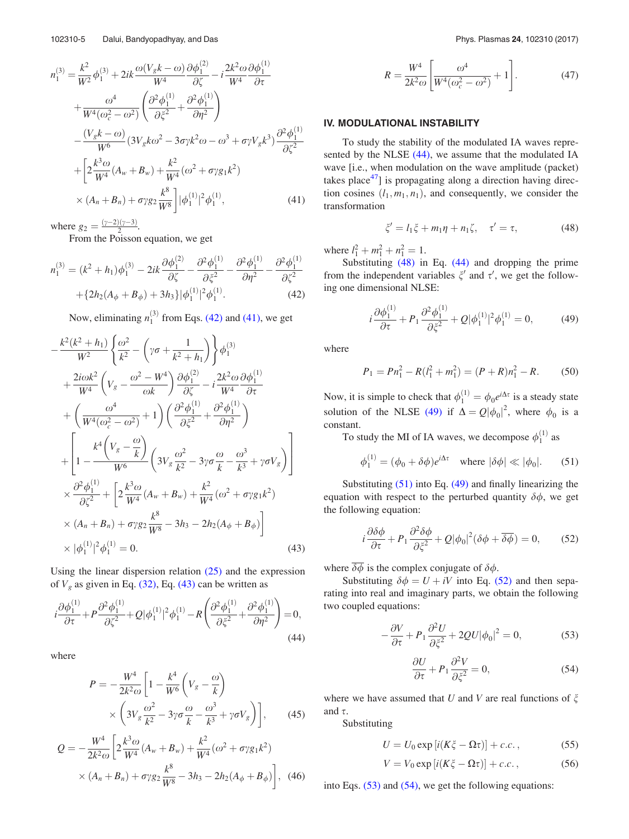$$
n_1^{(3)} = \frac{k^2}{W^2} \phi_1^{(3)} + 2ik \frac{\omega (V_g k - \omega)}{W^4} \frac{\partial \phi_1^{(2)}}{\partial \zeta} - i \frac{2k^2 \omega \partial \phi_1^{(1)}}{W^4} + \frac{\omega^4}{W^4 (\omega_c^2 - \omega^2)} \left( \frac{\partial^2 \phi_1^{(1)}}{\partial \zeta^2} + \frac{\partial^2 \phi_1^{(1)}}{\partial \eta^2} \right) - \frac{(V_g k - \omega)}{W^6} (3V_g k \omega^2 - 3\sigma \gamma k^2 \omega - \omega^3 + \sigma \gamma V_g k^3) \frac{\partial^2 \phi_1^{(1)}}{\partial \zeta^2} + \left[ 2 \frac{k^3 \omega}{W^4} (A_w + B_w) + \frac{k^2}{W^4} (\omega^2 + \sigma \gamma g_1 k^2) \right] \times (A_n + B_n) + \sigma \gamma g_2 \frac{k^8}{W^8} \right] |\phi_1^{(1)}|^2 \phi_1^{(1)}, \tag{41}
$$

where  $g_2 = \frac{(\gamma - 2)(\gamma - 3)}{2}$ .

From the Poisson equation, we get

$$
n_1^{(3)} = (k^2 + h_1)\phi_1^{(3)} - 2ik\frac{\partial \phi_1^{(2)}}{\partial \zeta} - \frac{\partial^2 \phi_1^{(1)}}{\partial \zeta^2} - \frac{\partial^2 \phi_1^{(1)}}{\partial \eta^2} - \frac{\partial^2 \phi_1^{(1)}}{\partial \zeta^2} + \{2h_2(A_\phi + B_\phi) + 3h_3\}|\phi_1^{(1)}|^2 \phi_1^{(1)}.
$$
\n(42)

Now, eliminating  $n_1^{(3)}$  from Eqs. (42) and (41), we get

$$
-\frac{k^{2}(k^{2} + h_{1})}{W^{2}} \left\{ \frac{\omega^{2}}{k^{2}} - \left(\gamma \sigma + \frac{1}{k^{2} + h_{1}}\right) \right\} \phi_{1}^{(3)}
$$
  
+ 
$$
\frac{2i\omega k^{2}}{W^{4}} \left(V_{g} - \frac{\omega^{2} - W^{4}}{\omega k}\right) \frac{\partial \phi_{1}^{(2)}}{\partial \zeta} - i \frac{2k^{2}\omega}{W^{4}} \frac{\partial \phi_{1}^{(1)}}{\partial \tau}
$$
  
+ 
$$
\left(\frac{\omega^{4}}{W^{4}(\omega_{c}^{2} - \omega^{2})} + 1\right) \left(\frac{\partial^{2} \phi_{1}^{(1)}}{\partial \zeta^{2}} + \frac{\partial^{2} \phi_{1}^{(1)}}{\partial \eta^{2}}\right)
$$
  
+ 
$$
\left[1 - \frac{k^{4}\left(V_{g} - \frac{\omega}{k}\right)}{W^{6}} \left(3V_{g} \frac{\omega^{2}}{k^{2}} - 3\gamma \sigma \frac{\omega}{k} - \frac{\omega^{3}}{k^{3}} + \gamma \sigma V_{g}\right)\right]
$$
  

$$
\times \frac{\partial^{2} \phi_{1}^{(1)}}{\partial \zeta^{2}} + \left[2 \frac{k^{3}\omega}{W^{4}} (A_{w} + B_{w}) + \frac{k^{2}}{W^{4}} (\omega^{2} + \sigma \gamma g_{1}k^{2})\right]
$$
  

$$
\times (A_{n} + B_{n}) + \sigma \gamma g_{2} \frac{k^{8}}{W^{8}} - 3h_{3} - 2h_{2} (A_{\phi} + B_{\phi})\right]
$$
  

$$
\times |\phi_{1}^{(1)}|^{2} \phi_{1}^{(1)} = 0.
$$
 (43)

Using the linear dispersion relation  $(25)$  and the expression of  $V_g$  as given in Eq. (32), Eq. (43) can be written as

$$
i\frac{\partial \phi_1^{(1)}}{\partial \tau} + P \frac{\partial^2 \phi_1^{(1)}}{\partial \zeta^2} + Q |\phi_1^{(1)}|^2 \phi_1^{(1)} - R \left( \frac{\partial^2 \phi_1^{(1)}}{\partial \zeta^2} + \frac{\partial^2 \phi_1^{(1)}}{\partial \eta^2} \right) = 0,
$$
\n(44)

where

$$
P = -\frac{W^4}{2k^2\omega} \left[ 1 - \frac{k^4}{W^6} \left( V_g - \frac{\omega}{k} \right) \times \left( 3V_g \frac{\omega^2}{k^2} - 3\gamma\sigma \frac{\omega}{k} - \frac{\omega^3}{k^3} + \gamma\sigma V_g \right) \right],
$$
 (45)

$$
Q = -\frac{W^4}{2k^2\omega} \left[ 2\frac{k^3\omega}{W^4} (A_w + B_w) + \frac{k^2}{W^4} (\omega^2 + \sigma \gamma g_1 k^2) \times (A_n + B_n) + \sigma \gamma g_2 \frac{k^8}{W^8} - 3h_3 - 2h_2 (A_\phi + B_\phi) \right], \tag{46}
$$

$$
R = \frac{W^4}{2k^2\omega} \left[ \frac{\omega^4}{W^4(\omega_c^2 - \omega^2)} + 1 \right].
$$
 (47)

### IV. MODULATIONAL INSTABILITY

To study the stability of the modulated IA waves represented by the NLSE (44), we assume that the modulated IA wave [i.e., when modulation on the wave amplitude (packet) takes place $47$ ] is propagating along a direction having direction cosines  $(l_1, m_1, n_1)$ , and consequently, we consider the transformation

$$
\xi' = l_1 \xi + m_1 \eta + n_1 \zeta, \quad \tau' = \tau,
$$
\n(48)

where  $l_1^2 + m_1^2 + n_1^2 = 1$ .

Substituting (48) in Eq. (44) and dropping the prime from the independent variables  $\xi'$  and  $\tau'$ , we get the following one dimensional NLSE:

$$
i\frac{\partial \phi_1^{(1)}}{\partial \tau} + P_1 \frac{\partial^2 \phi_1^{(1)}}{\partial \xi^2} + Q|\phi_1^{(1)}|^2 \phi_1^{(1)} = 0, \tag{49}
$$

where

$$
P_1 = P n_1^2 - R(l_1^2 + m_1^2) = (P + R)n_1^2 - R.
$$
 (50)

Now, it is simple to check that  $\phi_1^{(1)} = \phi_0 e^{i\Delta \tau}$  is a steady state solution of the NLSE (49) if  $\Delta = Q |\phi_0|^2$ , where  $\phi_0$  is a constant.

To study the MI of IA waves, we decompose  $\phi_1^{(1)}$  as

$$
\phi_1^{(1)} = (\phi_0 + \delta\phi)e^{i\Delta\tau} \quad \text{where } |\delta\phi| \ll |\phi_0|.
$$
 (51)

Substituting (51) into Eq. (49) and finally linearizing the equation with respect to the perturbed quantity  $\delta\phi$ , we get the following equation:

$$
i\frac{\partial \delta \phi}{\partial \tau} + P_1 \frac{\partial^2 \delta \phi}{\partial \xi^2} + Q |\phi_0|^2 (\delta \phi + \overline{\delta \phi}) = 0, \qquad (52)
$$

where  $\overline{\delta\phi}$  is the complex conjugate of  $\delta\phi$ .

Substituting  $\delta\phi = U + iV$  into Eq. (52) and then separating into real and imaginary parts, we obtain the following two coupled equations:

$$
-\frac{\partial V}{\partial \tau} + P_1 \frac{\partial^2 U}{\partial \xi^2} + 2QU |\phi_0|^2 = 0, \tag{53}
$$

$$
\frac{\partial U}{\partial \tau} + P_1 \frac{\partial^2 V}{\partial \xi^2} = 0,\tag{54}
$$

where we have assumed that U and V are real functions of  $\xi$ and  $\tau$ .

Substituting

$$
U = U_0 \exp[i(K\xi - \Omega \tau)] + c.c., \qquad (55)
$$

$$
V = V_0 \exp[i(K\xi - \Omega \tau)] + c.c.
$$
\n(56)

into Eqs.  $(53)$  and  $(54)$ , we get the following equations: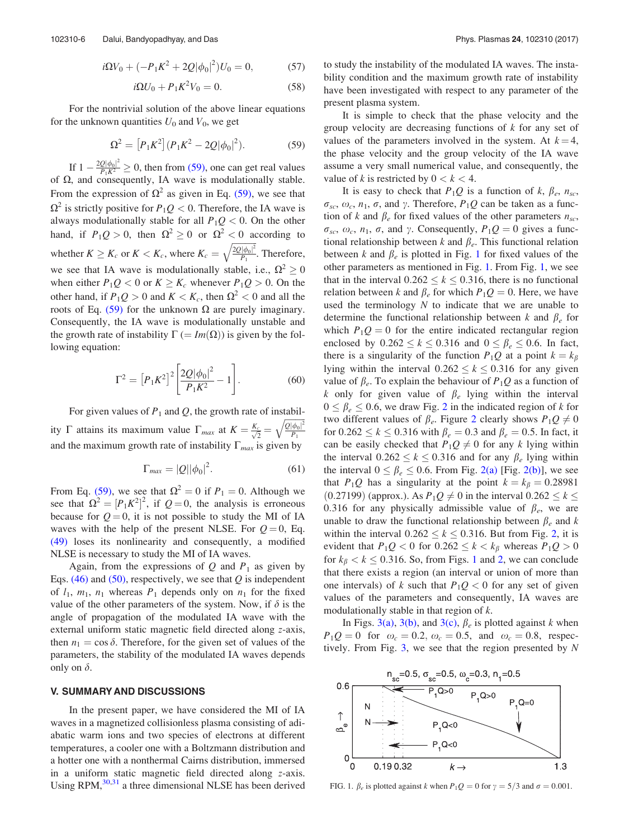$$
i\Omega V_0 + (-P_1 K^2 + 2Q|\phi_0|^2)U_0 = 0, \qquad (57)
$$

$$
i\Omega U_0 + P_1 K^2 V_0 = 0.
$$
 (58)

For the nontrivial solution of the above linear equations for the unknown quantities  $U_0$  and  $V_0$ , we get

$$
\Omega^2 = [P_1 K^2](P_1 K^2 - 2Q|\phi_0|^2). \tag{59}
$$

If  $1 - \frac{2Q|\phi_0|^2}{P_1K^2} \ge 0$ , then from (59), one can get real values of  $\Omega$ , and consequently, IA wave is modulationally stable. From the expression of  $\Omega^2$  as given in Eq. (59), we see that  $\Omega^2$  is strictly positive for  $P_1Q < 0$ . Therefore, the IA wave is always modulationally stable for all  $P_1Q < 0$ . On the other hand, if  $P_1Q > 0$ , then  $\Omega^2 \ge 0$  or  $\Omega^2 < 0$  according to whether  $K \geq K_c$  or  $K < K_c$ , where  $K_c = \sqrt{\frac{2Q|\phi_0|^2}{P_1}}$  $P_1$  $\sqrt{\frac{2Q|\phi_0|^2}{P} }$ . Therefore, we see that IA wave is modulationally stable, i.e.,  $\Omega^2 \ge 0$ when either  $P_1Q < 0$  or  $K \geq K_c$  whenever  $P_1Q > 0$ . On the other hand, if  $P_1Q > 0$  and  $K < K_c$ , then  $\Omega^2 < 0$  and all the roots of Eq. (59) for the unknown  $\Omega$  are purely imaginary. Consequently, the IA wave is modulationally unstable and the growth rate of instability  $\Gamma (= Im(\Omega))$  is given by the following equation:

$$
\Gamma^2 = \left[ P_1 K^2 \right]^2 \left[ \frac{2Q |\phi_0|^2}{P_1 K^2} - 1 \right]. \tag{60}
$$

For given values of  $P_1$  and  $Q$ , the growth rate of instability  $\Gamma$  attains its maximum value  $\Gamma_{max}$  at  $K = \frac{K_c}{\sqrt{2}}$  $\frac{1}{\sqrt{2}}$  =  $\mathcal{Q}|\phi_0|^2$  $P_1$  $\frac{1}{2}$ and the maximum growth rate of instability  $\Gamma_{max}$  is given by

$$
\Gamma_{\text{max}} = |Q||\phi_0|^2. \tag{61}
$$

From Eq. (59), we see that  $\Omega^2 = 0$  if  $P_1 = 0$ . Although we see that  $\Omega^2 = [P_1 K^2]^2$ , if  $Q = 0$ , the analysis is erroneous because for  $Q = 0$ , it is not possible to study the MI of IA waves with the help of the present NLSE. For  $Q=0$ , Eq. (49) loses its nonlinearity and consequently, a modified NLSE is necessary to study the MI of IA waves.

Again, from the expressions of Q and  $P_1$  as given by Eqs.  $(46)$  and  $(50)$ , respectively, we see that Q is independent of  $l_1$ ,  $m_1$ ,  $n_1$  whereas  $P_1$  depends only on  $n_1$  for the fixed value of the other parameters of the system. Now, if  $\delta$  is the angle of propagation of the modulated IA wave with the external uniform static magnetic field directed along z-axis, then  $n_1 = \cos \delta$ . Therefore, for the given set of values of the parameters, the stability of the modulated IA waves depends only on  $\delta$ .

#### V. SUMMARY AND DISCUSSIONS

In the present paper, we have considered the MI of IA waves in a magnetized collisionless plasma consisting of adiabatic warm ions and two species of electrons at different temperatures, a cooler one with a Boltzmann distribution and a hotter one with a nonthermal Cairns distribution, immersed in a uniform static magnetic field directed along z-axis. Using RPM, $30,31$  a three dimensional NLSE has been derived to study the instability of the modulated IA waves. The instability condition and the maximum growth rate of instability have been investigated with respect to any parameter of the present plasma system.

It is simple to check that the phase velocity and the group velocity are decreasing functions of  $k$  for any set of values of the parameters involved in the system. At  $k = 4$ , the phase velocity and the group velocity of the IA wave assume a very small numerical value, and consequently, the value of k is restricted by  $0 < k < 4$ .

It is easy to check that  $P_1Q$  is a function of k,  $\beta_e$ ,  $n_{sc}$ ,  $\sigma_{sc}$ ,  $\omega_c$ ,  $n_1$ ,  $\sigma$ , and  $\gamma$ . Therefore,  $P_1Q$  can be taken as a function of k and  $\beta_e$  for fixed values of the other parameters  $n_{sc}$ ,  $\sigma_{sc}$ ,  $\omega_c$ ,  $n_1$ ,  $\sigma$ , and  $\gamma$ . Consequently,  $P_1Q = 0$  gives a functional relationship between  $k$  and  $\beta_e$ . This functional relation between k and  $\beta_e$  is plotted in Fig. 1 for fixed values of the other parameters as mentioned in Fig. 1. From Fig. 1, we see that in the interval  $0.262 \le k \le 0.316$ , there is no functional relation between k and  $\beta_e$  for which  $P_1Q = 0$ . Here, we have used the terminology  $N$  to indicate that we are unable to determine the functional relationship between k and  $\beta_e$  for which  $P_1Q = 0$  for the entire indicated rectangular region enclosed by  $0.262 \le k \le 0.316$  and  $0 \le \beta_e \le 0.6$ . In fact, there is a singularity of the function  $P_1Q$  at a point  $k = k_\beta$ lying within the interval  $0.262 \le k \le 0.316$  for any given value of  $\beta_e$ . To explain the behaviour of  $P_1Q$  as a function of k only for given value of  $\beta_e$  lying within the interval  $0 \le \beta_e \le 0.6$ , we draw Fig. 2 in the indicated region of k for two different values of  $\beta_e$ . Figure 2 clearly shows  $P_1Q \neq 0$ for  $0.262 \le k \le 0.316$  with  $\beta_e = 0.3$  and  $\beta_e = 0.5$ . In fact, it can be easily checked that  $P_1Q \neq 0$  for any k lying within the interval  $0.262 \le k \le 0.316$  and for any  $\beta_e$  lying within the interval  $0 \le \beta_e \le 0.6$ . From Fig. 2(a) [Fig. 2(b)], we see that  $P_1Q$  has a singularity at the point  $k = k_\beta = 0.28981$ (0.27199) (approx.). As  $P_1Q \neq 0$  in the interval  $0.262 \leq k \leq$ 0.316 for any physically admissible value of  $\beta_e$ , we are unable to draw the functional relationship between  $\beta_e$  and k within the interval  $0.262 \le k \le 0.316$ . But from Fig. 2, it is evident that  $P_1Q < 0$  for  $0.262 \le k < k_\beta$  whereas  $P_1Q > 0$ for  $k_{\beta} < k \le 0.316$ . So, from Figs. 1 and 2, we can conclude that there exists a region (an interval or union of more than one intervals) of k such that  $P_1Q < 0$  for any set of given values of the parameters and consequently, IA waves are modulationally stable in that region of k.

In Figs. 3(a), 3(b), and 3(c),  $\beta_e$  is plotted against k when  $P_1Q = 0$  for  $\omega_c = 0.2$ ,  $\omega_c = 0.5$ , and  $\omega_c = 0.8$ , respectively. From Fig.  $3$ , we see that the region presented by N



FIG. 1.  $\beta_e$  is plotted against k when  $P_1Q = 0$  for  $\gamma = 5/3$  and  $\sigma = 0.001$ .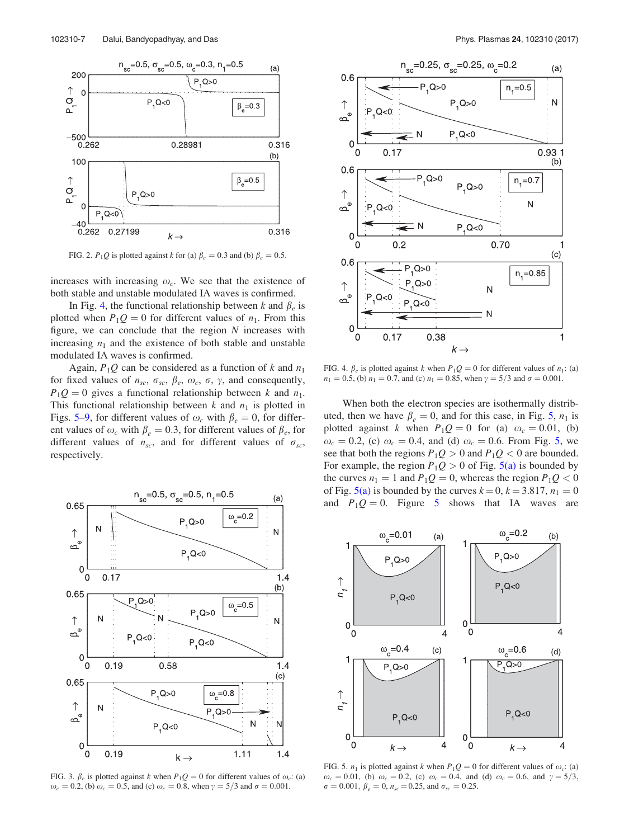

FIG. 2.  $P_1Q$  is plotted against k for (a)  $\beta_e = 0.3$  and (b)  $\beta_e = 0.5$ .

increases with increasing  $\omega_c$ . We see that the existence of both stable and unstable modulated IA waves is confirmed.

In Fig. 4, the functional relationship between k and  $\beta_e$  is plotted when  $P_1Q = 0$  for different values of  $n_1$ . From this figure, we can conclude that the region  $N$  increases with increasing  $n_1$  and the existence of both stable and unstable modulated IA waves is confirmed.

Again,  $P_1Q$  can be considered as a function of k and  $n_1$ for fixed values of  $n_{sc}$ ,  $\sigma_{sc}$ ,  $\beta_e$ ,  $\omega_c$ ,  $\sigma$ ,  $\gamma$ , and consequently,  $P_1Q = 0$  gives a functional relationship between k and  $n_1$ . This functional relationship between  $k$  and  $n_1$  is plotted in Figs. 5–9, for different values of  $\omega_c$  with  $\beta_e = 0$ , for different values of  $\omega_c$  with  $\beta_e = 0.3$ , for different values of  $\beta_e$ , for different values of  $n_{sc}$ , and for different values of  $\sigma_{sc}$ , respectively.



FIG. 3.  $\beta_e$  is plotted against k when  $P_1Q = 0$  for different values of  $\omega_c$ : (a)  $\omega_c = 0.2$ , (b)  $\omega_c = 0.5$ , and (c)  $\omega_c = 0.8$ , when  $\gamma = 5/3$  and  $\sigma = 0.001$ .



FIG. 4.  $\beta_e$  is plotted against k when  $P_1Q = 0$  for different values of  $n_1$ : (a)  $n_1 = 0.5$ , (b)  $n_1 = 0.7$ , and (c)  $n_1 = 0.85$ , when  $\gamma = 5/3$  and  $\sigma = 0.001$ .

When both the electron species are isothermally distributed, then we have  $\beta_e = 0$ , and for this case, in Fig. 5,  $n_1$  is plotted against k when  $P_1Q = 0$  for (a)  $\omega_c = 0.01$ , (b)  $\omega_c = 0.2$ , (c)  $\omega_c = 0.4$ , and (d)  $\omega_c = 0.6$ . From Fig. 5, we see that both the regions  $P_1Q > 0$  and  $P_1Q < 0$  are bounded. For example, the region  $P_1Q > 0$  of Fig. 5(a) is bounded by the curves  $n_1 = 1$  and  $P_1Q = 0$ , whereas the region  $P_1Q < 0$ of Fig.  $5(a)$  is bounded by the curves  $k = 0, k = 3.817, n_1 = 0$ and  $P_1Q = 0$ . Figure 5 shows that IA waves are



FIG. 5.  $n_1$  is plotted against k when  $P_1Q = 0$  for different values of  $\omega_c$ : (a)  $\omega_c = 0.01$ , (b)  $\omega_c = 0.2$ , (c)  $\omega_c = 0.4$ , and (d)  $\omega_c = 0.6$ , and  $\gamma = 5/3$ ,  $\sigma = 0.001, \beta_e = 0, n_{sc} = 0.25, \text{ and } \sigma_{sc} = 0.25.$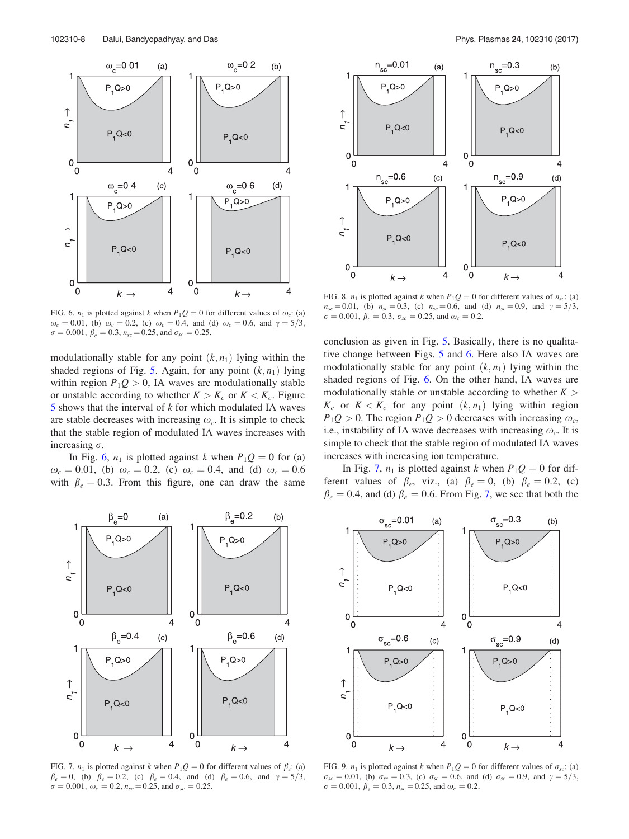

FIG. 6.  $n_1$  is plotted against k when  $P_1Q = 0$  for different values of  $\omega_c$ : (a)  $\omega_c = 0.01$ , (b)  $\omega_c = 0.2$ , (c)  $\omega_c = 0.4$ , and (d)  $\omega_c = 0.6$ , and  $\gamma = 5/3$ ,  $\sigma = 0.001, \beta_e = 0.3, n_{sc} = 0.25, \text{ and } \sigma_{sc} = 0.25.$ 

modulationally stable for any point  $(k, n_1)$  lying within the shaded regions of Fig. 5. Again, for any point  $(k, n_1)$  lying within region  $P_1Q > 0$ , IA waves are modulationally stable or unstable according to whether  $K > K_c$  or  $K < K_c$ . Figure  $5$  shows that the interval of  $k$  for which modulated IA waves are stable decreases with increasing  $\omega_c$ . It is simple to check that the stable region of modulated IA waves increases with increasing  $\sigma$ .

In Fig. 6,  $n_1$  is plotted against k when  $P_1Q = 0$  for (a)  $\omega_c = 0.01$ , (b)  $\omega_c = 0.2$ , (c)  $\omega_c = 0.4$ , and (d)  $\omega_c = 0.6$ with  $\beta_e = 0.3$ . From this figure, one can draw the same



FIG. 7.  $n_1$  is plotted against k when  $P_1Q = 0$  for different values of  $\beta_e$ : (a)  $\beta_e = 0$ , (b)  $\beta_e = 0.2$ , (c)  $\beta_e = 0.4$ , and (d)  $\beta_e = 0.6$ , and  $\gamma = 5/3$ ,  $\sigma = 0.001, \omega_c = 0.2, n_{sc} = 0.25, \text{ and } \sigma_{sc} = 0.25.$ 



FIG. 8.  $n_1$  is plotted against k when  $P_1Q = 0$  for different values of  $n_{sc}$ : (a)  $n_{sc} = 0.01$ , (b)  $n_{sc} = 0.3$ , (c)  $n_{sc} = 0.6$ , and (d)  $n_{sc} = 0.9$ , and  $\gamma = 5/3$ ,  $\sigma = 0.001, \beta_e = 0.3, \sigma_{sc} = 0.25, \text{ and } \omega_c = 0.2.$ 

conclusion as given in Fig. 5. Basically, there is no qualitative change between Figs. 5 and 6. Here also IA waves are modulationally stable for any point  $(k, n_1)$  lying within the shaded regions of Fig. 6. On the other hand, IA waves are modulationally stable or unstable according to whether  $K >$  $K_c$  or  $K < K_c$  for any point  $(k, n_1)$  lying within region  $P_1Q > 0$ . The region  $P_1Q > 0$  decreases with increasing  $\omega_c$ , i.e., instability of IA wave decreases with increasing  $\omega_c$ . It is simple to check that the stable region of modulated IA waves increases with increasing ion temperature.

In Fig. 7,  $n_1$  is plotted against k when  $P_1Q = 0$  for different values of  $\beta_e$ , viz., (a)  $\beta_e = 0$ , (b)  $\beta_e = 0.2$ , (c)  $\beta_e = 0.4$ , and (d)  $\beta_e = 0.6$ . From Fig. 7, we see that both the



FIG. 9.  $n_1$  is plotted against k when  $P_1Q = 0$  for different values of  $\sigma_{sc}$ : (a)  $\sigma_{sc} = 0.01$ , (b)  $\sigma_{sc} = 0.3$ , (c)  $\sigma_{sc} = 0.6$ , and (d)  $\sigma_{sc} = 0.9$ , and  $\gamma = 5/3$ ,  $\sigma = 0.001, \beta_e = 0.3, n_{sc} = 0.25, \text{ and } \omega_c = 0.2.$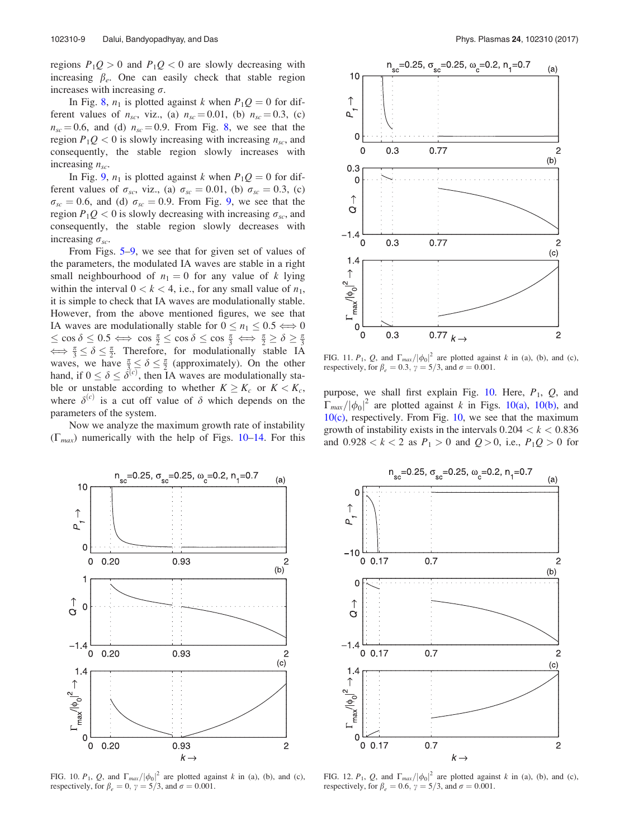regions  $P_1Q > 0$  and  $P_1Q < 0$  are slowly decreasing with increasing  $\beta_e$ . One can easily check that stable region increases with increasing  $\sigma$ .

In Fig. 8,  $n_1$  is plotted against k when  $P_1Q = 0$  for different values of  $n_{sc}$ , viz., (a)  $n_{sc} = 0.01$ , (b)  $n_{sc} = 0.3$ , (c)  $n_{sc} = 0.6$ , and (d)  $n_{sc} = 0.9$ . From Fig. 8, we see that the region  $P_1Q < 0$  is slowly increasing with increasing  $n_{sc}$ , and consequently, the stable region slowly increases with increasing  $n_{sc}$ .

In Fig. 9,  $n_1$  is plotted against k when  $P_1Q = 0$  for different values of  $\sigma_{sc}$ , viz., (a)  $\sigma_{sc} = 0.01$ , (b)  $\sigma_{sc} = 0.3$ , (c)  $\sigma_{sc} = 0.6$ , and (d)  $\sigma_{sc} = 0.9$ . From Fig. 9, we see that the region  $P_1Q < 0$  is slowly decreasing with increasing  $\sigma_{sc}$ , and consequently, the stable region slowly decreases with increasing  $\sigma_{sc}$ .

From Figs. 5–9, we see that for given set of values of the parameters, the modulated IA waves are stable in a right small neighbourhood of  $n_1 = 0$  for any value of k lying within the interval  $0 < k < 4$ , i.e., for any small value of  $n_1$ , it is simple to check that IA waves are modulationally stable. However, from the above mentioned figures, we see that IA waves are modulationally stable for  $0 \le n_1 \le 0.5 \Longleftrightarrow 0$  $\leq \cos \delta \leq 0.5 \iff \cos \frac{\pi}{2} \leq \cos \delta \leq \cos \frac{\pi}{3} \iff \frac{\pi}{2} \geq \delta \geq \frac{\pi}{3}$  $\iff \frac{\pi}{3} \le \delta \le \frac{\pi}{2}$ . Therefore, for modulationally stable IA waves, we have  $\frac{\pi}{3} \leq \delta \leq \frac{\pi}{2}$  (approximately). On the other hand, if  $0 \leq \delta \leq \delta^{(c)}$ , then IA waves are modulationally stable or unstable according to whether  $K \geq K_c$  or  $K < K_c$ , where  $\delta^{(c)}$  is a cut off value of  $\delta$  which depends on the parameters of the system.

Now we analyze the maximum growth rate of instability  $(\Gamma_{max})$  numerically with the help of Figs. 10–14. For this



FIG. 11.  $P_1$ , Q, and  $\Gamma_{max}/|\phi_0|^2$  are plotted against k in (a), (b), and (c), respectively, for  $\beta_e = 0.3$ ,  $\gamma = 5/3$ , and  $\sigma = 0.001$ .

purpose, we shall first explain Fig.  $10$ . Here,  $P_1$ ,  $Q$ , and  $\Gamma_{max}/|\phi_0|^2$  are plotted against k in Figs. 10(a), 10(b), and 10(c), respectively. From Fig. 10, we see that the maximum growth of instability exists in the intervals  $0.204 < k < 0.836$ and  $0.928 < k < 2$  as  $P_1 > 0$  and  $Q > 0$ , i.e.,  $P_1Q > 0$  for



FIG. 10.  $P_1$ , Q, and  $\Gamma_{max}/|\phi_0|^2$  are plotted against k in (a), (b), and (c), respectively, for  $\beta_e = 0$ ,  $\gamma = 5/3$ , and  $\sigma = 0.001$ .



FIG. 12.  $P_1$ , Q, and  $\Gamma_{max}/|\phi_0|^2$  are plotted against k in (a), (b), and (c), respectively, for  $\beta_e = 0.6$ ,  $\gamma = 5/3$ , and  $\sigma = 0.001$ .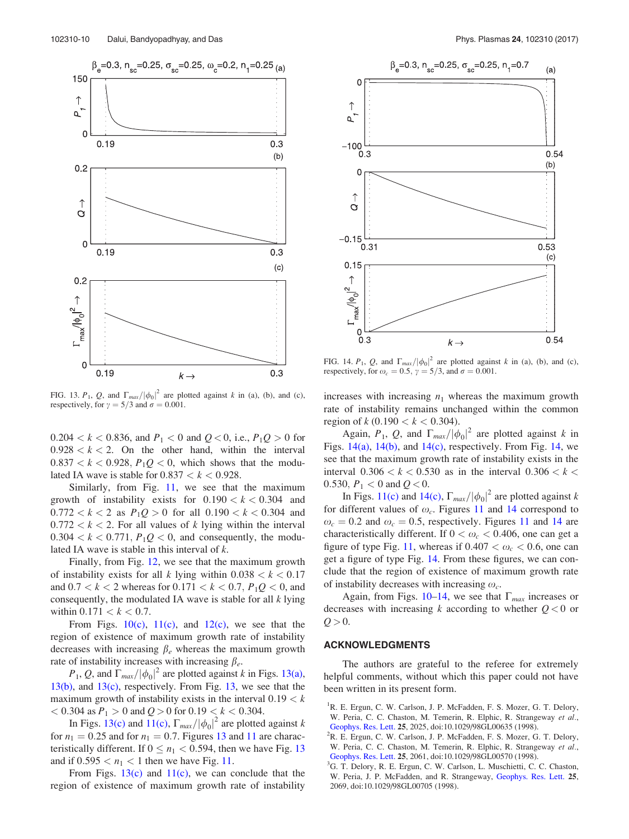



FIG. 13.  $P_1$ , Q, and  $\Gamma_{max}/|\phi_0|^2$  are plotted against k in (a), (b), and (c), respectively, for  $\gamma = 5/3$  and  $\sigma = 0.001$ .

 $0.204 < k < 0.836$ , and  $P_1 < 0$  and  $Q < 0$ , i.e.,  $P_1Q > 0$  for  $0.928 < k < 2$ . On the other hand, within the interval  $0.837 < k < 0.928$ ,  $P_1Q < 0$ , which shows that the modulated IA wave is stable for  $0.837 < k < 0.928$ .

Similarly, from Fig. 11, we see that the maximum growth of instability exists for  $0.190 < k < 0.304$  and  $0.772 < k < 2$  as  $P_1Q > 0$  for all  $0.190 < k < 0.304$  and  $0.772 < k < 2$ . For all values of k lying within the interval  $0.304 < k < 0.771$ ,  $P_1Q < 0$ , and consequently, the modulated IA wave is stable in this interval of k.

Finally, from Fig. 12, we see that the maximum growth of instability exists for all k lying within  $0.038 < k < 0.17$ and  $0.7 < k < 2$  whereas for  $0.171 < k < 0.7$ ,  $P_1Q < 0$ , and consequently, the modulated IA wave is stable for all  $k$  lying within  $0.171 < k < 0.7$ .

From Figs.  $10(c)$ ,  $11(c)$ , and  $12(c)$ , we see that the region of existence of maximum growth rate of instability decreases with increasing  $\beta_e$  whereas the maximum growth rate of instability increases with increasing  $\beta_e$ .

 $P_1, Q$ , and  $\Gamma_{max}/|\phi_0|^2$  are plotted against k in Figs. 13(a), 13(b), and 13(c), respectively. From Fig. 13, we see that the maximum growth of instability exists in the interval  $0.19 < k$  $< 0.304$  as  $P_1 > 0$  and  $Q > 0$  for  $0.19 < k < 0.304$ .

In Figs. 13(c) and 11(c),  $\Gamma_{max}/|\phi_0|^2$  are plotted against k for  $n_1 = 0.25$  and for  $n_1 = 0.7$ . Figures 13 and 11 are characteristically different. If  $0 \le n_1 < 0.594$ , then we have Fig. 13 and if  $0.595 < n_1 < 1$  then we have Fig. 11.

From Figs.  $13(c)$  and  $11(c)$ , we can conclude that the region of existence of maximum growth rate of instability

FIG. 14.  $P_1$ , Q, and  $\Gamma_{max}/|\phi_0|^2$  are plotted against k in (a), (b), and (c), respectively, for  $\omega_c = 0.5$ ,  $\gamma = 5/3$ , and  $\sigma = 0.001$ .

increases with increasing  $n_1$  whereas the maximum growth rate of instability remains unchanged within the common region of  $k$  (0.190  $< k < 0.304$ ).

Again,  $P_1$ , Q, and  $\Gamma_{max}/|\phi_0|^2$  are plotted against k in Figs.  $14(a)$ ,  $14(b)$ , and  $14(c)$ , respectively. From Fig. 14, we see that the maximum growth rate of instability exists in the interval  $0.306 < k < 0.530$  as in the interval  $0.306 < k <$ 0.530,  $P_1 < 0$  and  $Q < 0$ .

In Figs. 11(c) and 14(c),  $\Gamma_{max}/|\phi_0|^2$  are plotted against k for different values of  $\omega_c$ . Figures 11 and 14 correspond to  $\omega_c = 0.2$  and  $\omega_c = 0.5$ , respectively. Figures 11 and 14 are characteristically different. If  $0 < \omega_c < 0.406$ , one can get a figure of type Fig. 11, whereas if  $0.407 < \omega_c < 0.6$ , one can get a figure of type Fig. 14. From these figures, we can conclude that the region of existence of maximum growth rate of instability decreases with increasing  $\omega_c$ .

Again, from Figs. 10–14, we see that  $\Gamma_{max}$  increases or decreases with increasing k according to whether  $Q < 0$  or  $Q > 0$ .

#### ACKNOWLEDGMENTS

The authors are grateful to the referee for extremely helpful comments, without which this paper could not have been written in its present form.

- <sup>1</sup>R. E. Ergun, C. W. Carlson, J. P. McFadden, F. S. Mozer, G. T. Delory, W. Peria, C. C. Chaston, M. Temerin, R. Elphic, R. Strangeway et al., Geophys. Res. Lett. 25, 2025, doi:10.1029/98GL00635 (1998).
- $2R$ . E. Ergun, C. W. Carlson, J. P. McFadden, F. S. Mozer, G. T. Delory, W. Peria, C. C. Chaston, M. Temerin, R. Elphic, R. Strangeway et al., Geophys. Res. Lett. 25, 2061, doi:10.1029/98GL00570 (1998).
- <sup>3</sup>G. T. Delory, R. E. Ergun, C. W. Carlson, L. Muschietti, C. C. Chaston, W. Peria, J. P. McFadden, and R. Strangeway, Geophys. Res. Lett. 25, 2069, doi:10.1029/98GL00705 (1998).